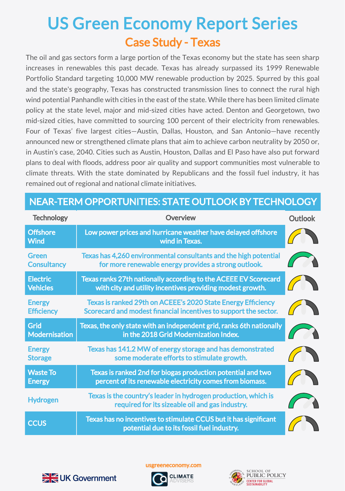## Case Study - Texas US Green Economy Report Series

The oil and gas sectors form a large portion of the Texas economy but the state has seen sharp increases in renewables this past decade. Texas has already surpassed its 1999 Renewable Portfolio Standard targeting 10,000 MW renewable production by 2025. Spurred by this goal and the state's geography, Texas has constructed transmission lines to connect the rural high wind potential Panhandle with cities in the east of the state. While there has been limited climate policy at the state level, major and mid-sized cities have acted. Denton and Georgetown, two mid-sized cities, have committed to sourcing 100 percent of their electricity from renewables. Four of Texas' five largest cities—Austin, Dallas, Houston, and San Antonio—have recently announced new or strengthened climate plans that aim to achieve carbon neutrality by 2050 or, in Austin's case, 2040. Cities such as Austin, Houston, Dallas and El Paso have also put forward plans to deal with floods, address poor air quality and support communities most vulnerable to climate threats. With the state dominated by Republicans and the fossil fuel industry, it has remained out of regional and national climate initiatives.

## NEAR-TERM OPPORTUNITIES: STATE OUTLOOK BY TECHNOLOGY

| <b>Technology</b>                  | <b>Overview</b>                                                                                                                  | <b>Outlook</b> |
|------------------------------------|----------------------------------------------------------------------------------------------------------------------------------|----------------|
| <b>Offshore</b><br><b>Wind</b>     | Low power prices and hurricane weather have delayed offshore<br>wind in Texas.                                                   |                |
| <b>Green</b><br><b>Consultancy</b> | Texas has 4,260 environmental consultants and the high potential<br>for more renewable energy provides a strong outlook.         |                |
| <b>Electric</b><br><b>Vehicles</b> | Texas ranks 27th nationally according to the ACEEE EV Scorecard<br>with city and utility incentives providing modest growth.     |                |
| <b>Energy</b><br><b>Efficiency</b> | Texas is ranked 29th on ACEEE's 2020 State Energy Efficiency<br>Scorecard and modest financial incentives to support the sector. |                |
| Grid<br><b>Modernisation</b>       | Texas, the only state with an independent grid, ranks 6th nationally<br>in the 2018 Grid Modernization Index.                    |                |
| <b>Energy</b><br><b>Storage</b>    | Texas has 141.2 MW of energy storage and has demonstrated<br>some moderate efforts to stimulate growth.                          |                |
| <b>Waste To</b><br><b>Energy</b>   | Texas is ranked 2nd for biogas production potential and two<br>percent of its renewable electricity comes from biomass.          |                |
| <b>Hydrogen</b>                    | Texas is the country's leader in hydrogen production, which is<br>required for its sizeable oil and gas industry.                |                |
| <b>CCUS</b>                        | Texas has no incentives to stimulate CCUS but it has significant<br>potential due to its fossil fuel industry.                   |                |



usgreeneconomy.com